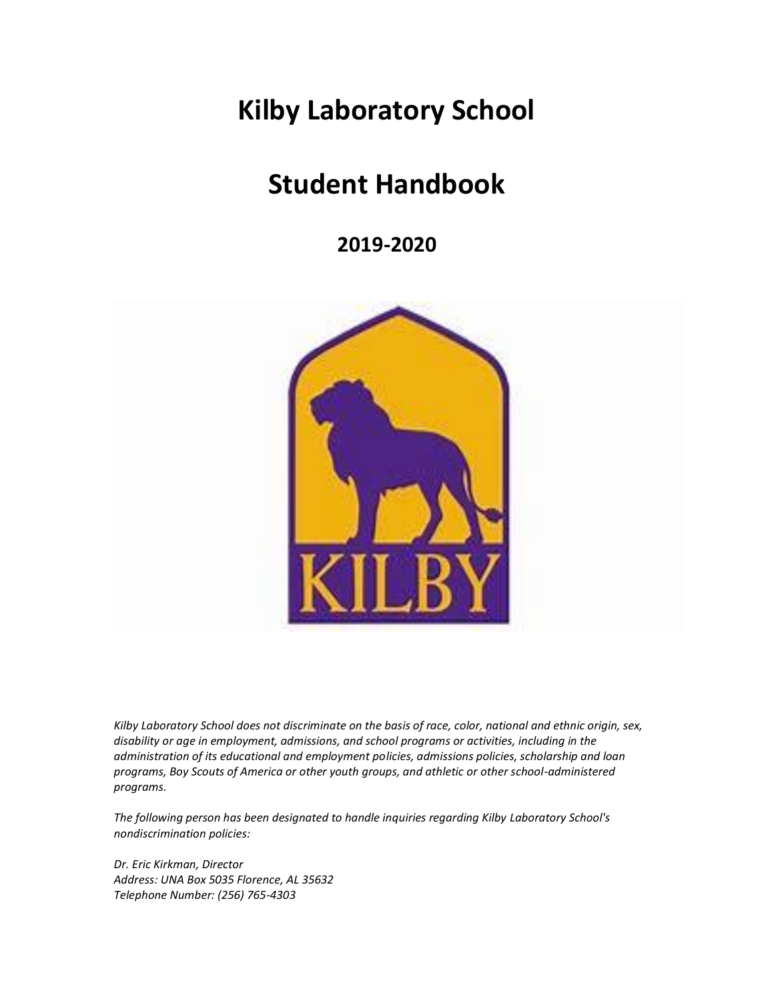# **Kilby Laboratory School**

# **Student Handbook**

**2019-2020**



*Kilby Laboratory School does not discriminate on the basis of race, color, national and ethnic origin, sex, disability or age in employment, admissions, and school programs or activities, including in the administration of its educational and employment policies, admissions policies, scholarship and loan programs, Boy Scouts of America or other youth groups, and athletic or other school-administered programs.* 

*The following person has been designated to handle inquiries regarding Kilby Laboratory School's nondiscrimination policies:*

*Dr. Eric Kirkman, Director Address: UNA Box 5035 Florence, AL 35632 Telephone Number: (256) 765-4303*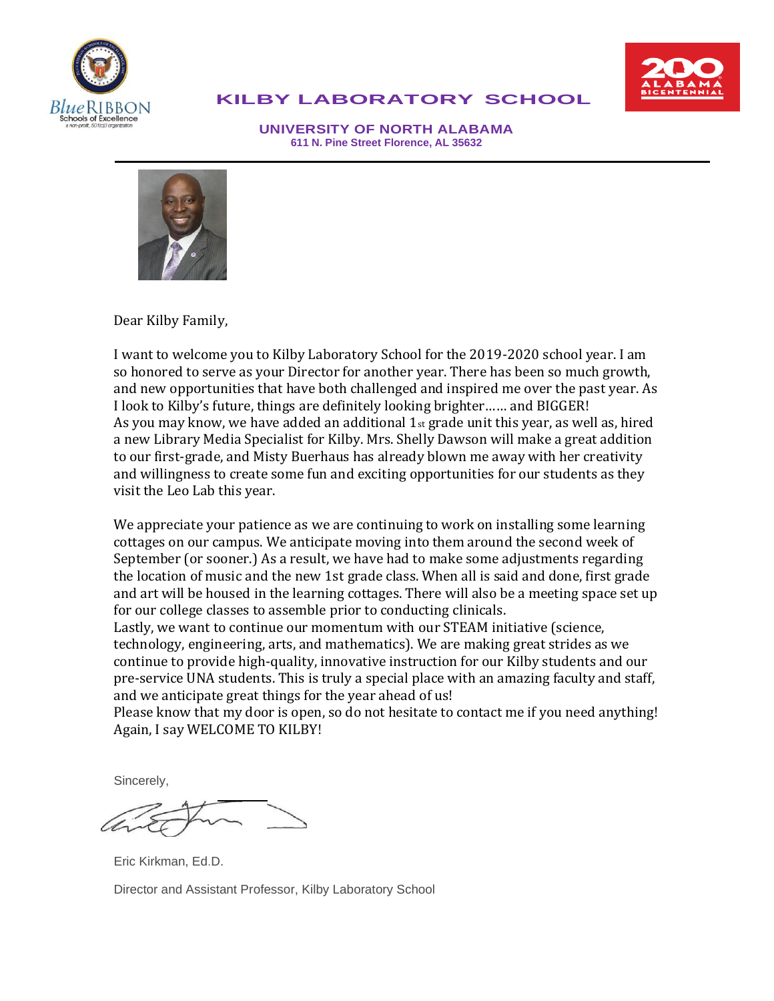



#### **KILBY LABORATORY SCHOOL**

**UNIVERSITY OF NORTH ALABAMA 611 N. Pine Street Florence, AL 35632**



Dear Kilby Family,

I want to welcome you to Kilby Laboratory School for the 2019-2020 school year. I am so honored to serve as your Director for another year. There has been so much growth, and new opportunities that have both challenged and inspired me over the past year. As I look to Kilby's future, things are definitely looking brighter…… and BIGGER! As you may know, we have added an additional  $1_{st}$  grade unit this year, as well as, hired a new Library Media Specialist for Kilby. Mrs. Shelly Dawson will make a great addition to our first-grade, and Misty Buerhaus has already blown me away with her creativity and willingness to create some fun and exciting opportunities for our students as they visit the Leo Lab this year.

We appreciate your patience as we are continuing to work on installing some learning cottages on our campus. We anticipate moving into them around the second week of September (or sooner.) As a result, we have had to make some adjustments regarding the location of music and the new 1st grade class. When all is said and done, first grade and art will be housed in the learning cottages. There will also be a meeting space set up for our college classes to assemble prior to conducting clinicals.

Lastly, we want to continue our momentum with our STEAM initiative (science, technology, engineering, arts, and mathematics). We are making great strides as we continue to provide high-quality, innovative instruction for our Kilby students and our pre-service UNA students. This is truly a special place with an amazing faculty and staff, and we anticipate great things for the year ahead of us!

Please know that my door is open, so do not hesitate to contact me if you need anything! Again, I say WELCOME TO KILBY!

Sincerely,

Eric Kirkman, Ed.D. Director and Assistant Professor, Kilby Laboratory School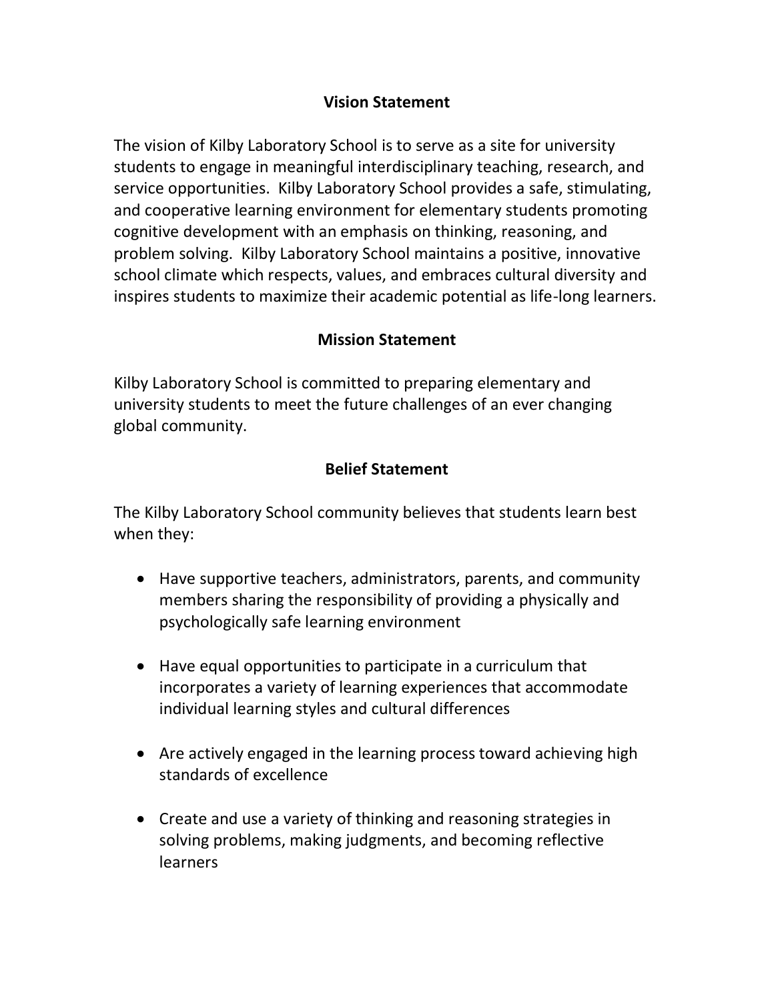#### **Vision Statement**

The vision of Kilby Laboratory School is to serve as a site for university students to engage in meaningful interdisciplinary teaching, research, and service opportunities. Kilby Laboratory School provides a safe, stimulating, and cooperative learning environment for elementary students promoting cognitive development with an emphasis on thinking, reasoning, and problem solving. Kilby Laboratory School maintains a positive, innovative school climate which respects, values, and embraces cultural diversity and inspires students to maximize their academic potential as life-long learners.

#### **Mission Statement**

Kilby Laboratory School is committed to preparing elementary and university students to meet the future challenges of an ever changing global community.

#### **Belief Statement**

The Kilby Laboratory School community believes that students learn best when they:

- Have supportive teachers, administrators, parents, and community members sharing the responsibility of providing a physically and psychologically safe learning environment
- Have equal opportunities to participate in a curriculum that incorporates a variety of learning experiences that accommodate individual learning styles and cultural differences
- Are actively engaged in the learning process toward achieving high standards of excellence
- Create and use a variety of thinking and reasoning strategies in solving problems, making judgments, and becoming reflective **learners**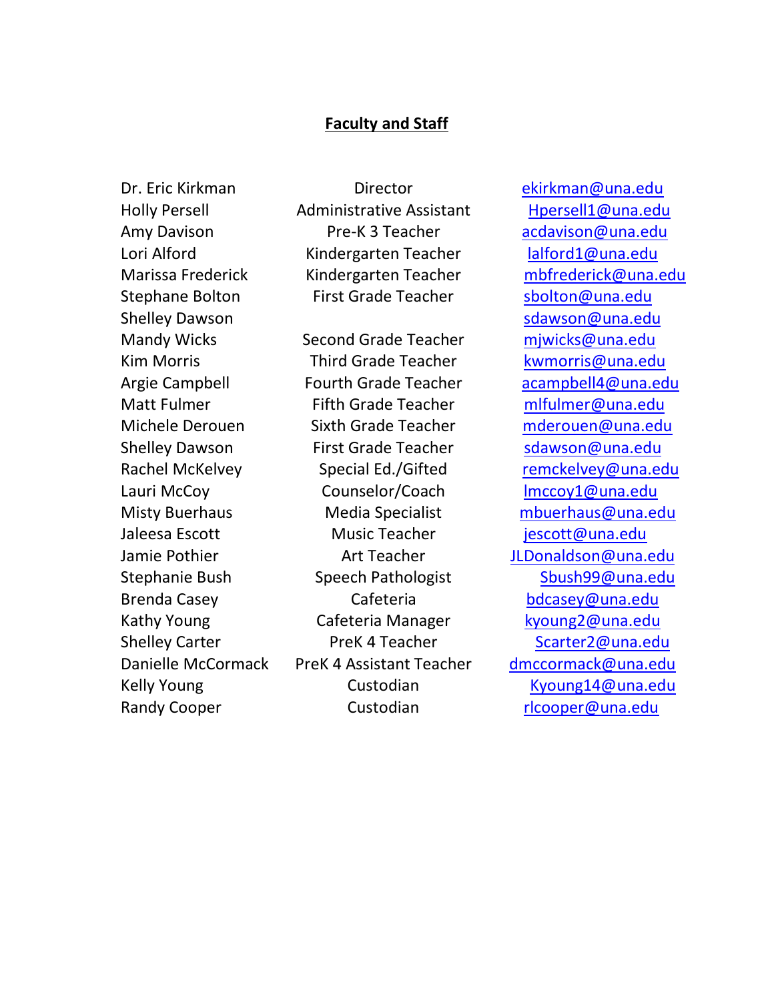#### **Faculty and Staff**

Amy Davison Lori Alford Stephane Bolton Shelley Dawson

Dr. Eric Kirkman **Director** External Director [ekirkman@una.edu](mailto:ekirkman@una.edu) Holly Persell **Administrative Assistant** Hpersell1@una.edu Pre-K 3 Teacher Kindergarten Teacher Marissa Frederick Kindergarten Teacher [mbfrederick@una.edu](mailto:mbfrederick@una.edu) First Grade Teacher [sbolton@una.edu](mailto:sbolton@una.edu)

Mandy Wicks Second Grade Teacher miwicks@una.edu Kim Morris **Third Grade Teacher** [kwmorris@una.edu](mailto:kwmorris@una.edu) Argie Campbell Fourth Grade Teacher [acampbell4@una.edu](mailto:acampbell4@una.edu) Matt Fulmer Fifth Grade Teacher [mlfulmer@una.edu](mailto:mlfulmer@una.edu) Michele Derouen Sixth Grade Teacher [mderouen@una.edu](mailto:mderouen@una.edu) Shelley Dawson First Grade Teacher [sdawson@una.edu](mailto:sdawson@una.edu) Rachel McKelvey **Special Ed./Gifted** [remckelvey@una.edu](mailto:remckelvey@una.edu) Lauri McCoy Counselor/Coach [lmccoy1@una.edu](mailto:lmccoy1@una.edu) Misty Buerhaus Media Specialist [mbuerhaus@una.edu](mailto:mbuerhaus@una.edu) Jaleesa Escott Music Teacher iescott@una.edu Jamie Pothier **Art Teacher** Art Teacher Art Teacher Art Teacher Art Research Art Alexander Art Teacher Art Zubert Stephanie Bush Speech Pathologist Sbush99@una.edu Brenda Casey **Cafeteria** Cafeteria [bdcasey@una.edu](mailto:bdcasey@una.edu) Kathy Young **Cafeteria Manager** [kyoung2@una.edu](mailto:kyoung2@una.edu) Shelley Carter **PreK 4 Teacher** Scarter2@una.edu Danielle McCormack PreK 4 Assistant Teacher [dmccormack@una.edu](mailto:dmccormack@una.edu) Kelly Young Custodian Custodian [Kyoung14@una.edu](mailto:Kyoung14@una.edu) Randy Cooper Custodian [rlcooper@una.edu](mailto:rlcooper@una.edu)

[acdavison@una.edu](mailto:acdavison@una.edu) [lalford1@una.edu](mailto:lalford1@una.edu) [sdawson@una.edu](mailto:sdawson@una.edu)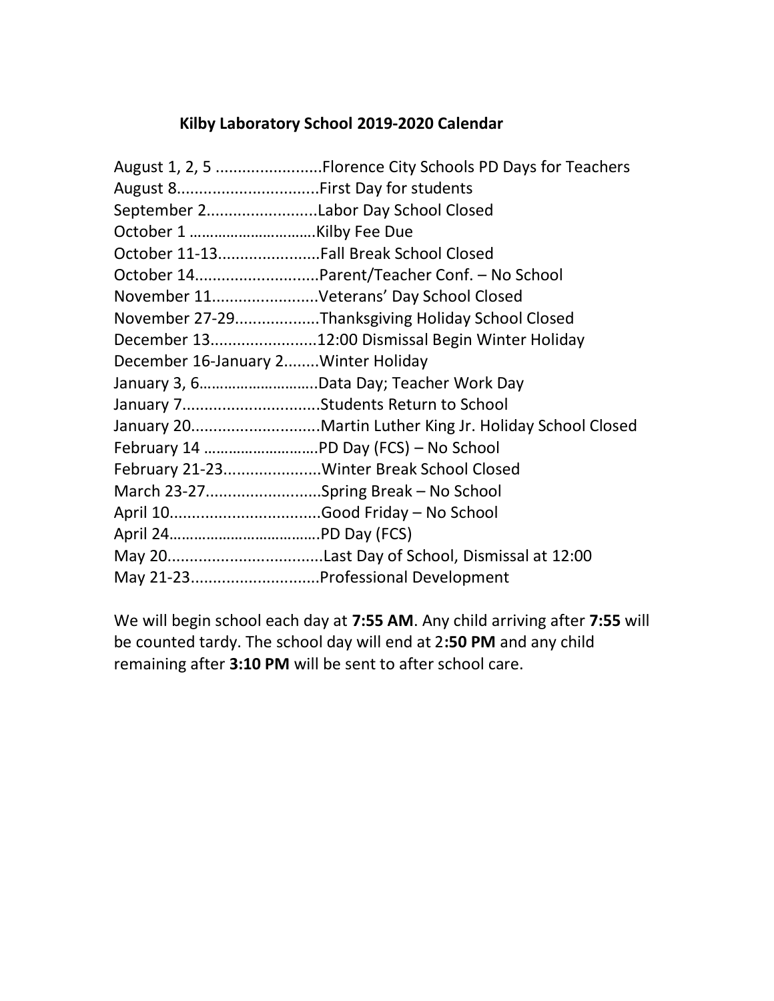#### **Kilby Laboratory School 2019-2020 Calendar**

|                                       | August 1, 2, 5 Florence City Schools PD Days for Teachers |
|---------------------------------------|-----------------------------------------------------------|
| August 8First Day for students        |                                                           |
| September 2Labor Day School Closed    |                                                           |
|                                       |                                                           |
| October 11-13Fall Break School Closed |                                                           |
|                                       | October 14Parent/Teacher Conf. - No School                |
|                                       | November 11Veterans' Day School Closed                    |
|                                       | November 27-29Thanksgiving Holiday School Closed          |
|                                       | December 1312:00 Dismissal Begin Winter Holiday           |
| December 16-January 2 Winter Holiday  |                                                           |
|                                       | January 3, 6Data Day; Teacher Work Day                    |
|                                       | January 7Students Return to School                        |
|                                       | January 20Martin Luther King Jr. Holiday School Closed    |
|                                       |                                                           |
|                                       | February 21-23Winter Break School Closed                  |
|                                       | March 23-27Spring Break - No School                       |
|                                       |                                                           |
|                                       |                                                           |
|                                       |                                                           |
|                                       | May 21-23Professional Development                         |

We will begin school each day at **7:55 AM**. Any child arriving after **7:55** will be counted tardy. The school day will end at 2**:50 PM** and any child remaining after **3:10 PM** will be sent to after school care.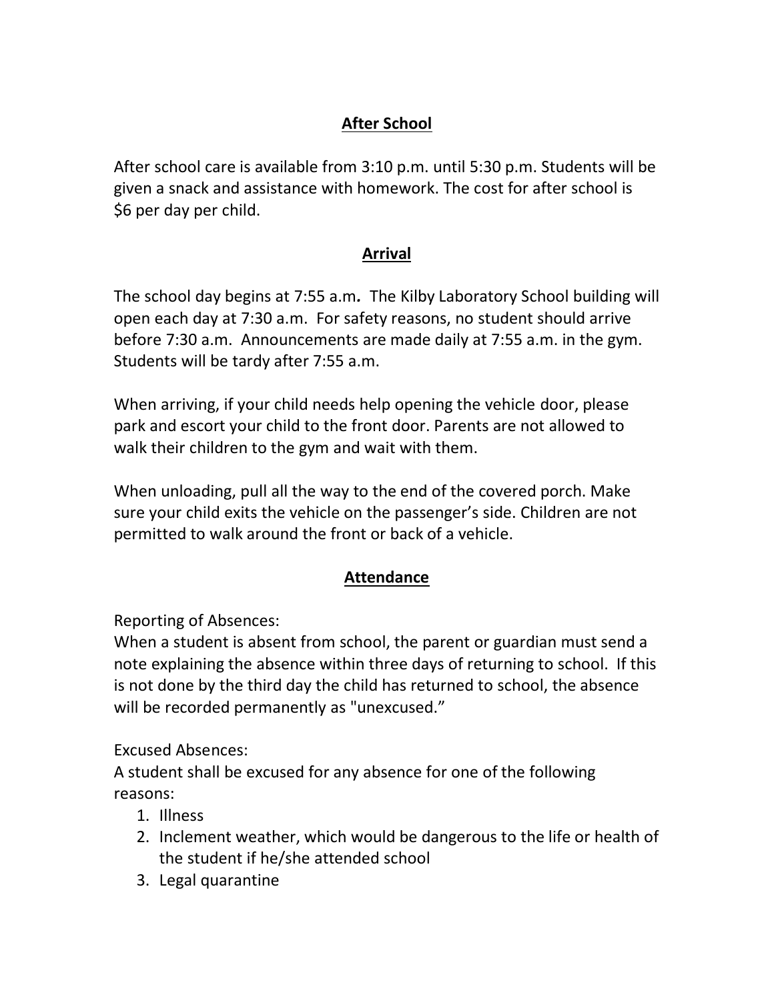## **After School**

After school care is available from 3:10 p.m. until 5:30 p.m. Students will be given a snack and assistance with homework. The cost for after school is \$6 per day per child.

## **Arrival**

The school day begins at 7:55 a.m*.* The Kilby Laboratory School building will open each day at 7:30 a.m. For safety reasons, no student should arrive before 7:30 a.m. Announcements are made daily at 7:55 a.m. in the gym. Students will be tardy after 7:55 a.m.

When arriving, if your child needs help opening the vehicle door, please park and escort your child to the front door. Parents are not allowed to walk their children to the gym and wait with them.

When unloading, pull all the way to the end of the covered porch. Make sure your child exits the vehicle on the passenger's side. Children are not permitted to walk around the front or back of a vehicle.

## **Attendance**

Reporting of Absences:

When a student is absent from school, the parent or guardian must send a note explaining the absence within three days of returning to school. If this is not done by the third day the child has returned to school, the absence will be recorded permanently as "unexcused."

Excused Absences:

A student shall be excused for any absence for one of the following reasons:

- 1. Illness
- 2. Inclement weather, which would be dangerous to the life or health of the student if he/she attended school
- 3. Legal quarantine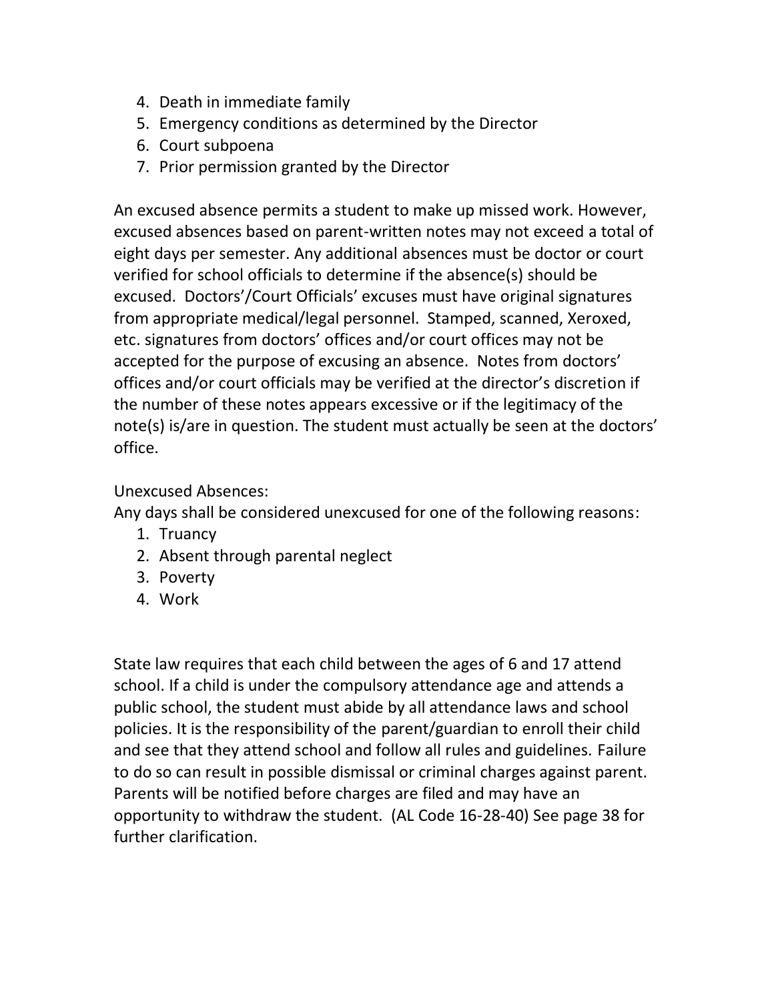- 4. Death in immediate family
- 5. Emergency conditions as determined by the Director
- 6. Court subpoena
- 7. Prior permission granted by the Director

An excused absence permits a student to make up missed work. However, excused absences based on parent-written notes may not exceed a total of eight days per semester. Any additional absences must be doctor or court verified for school officials to determine if the absence(s) should be excused. Doctors'/Court Officials' excuses must have original signatures from appropriate medical/legal personnel. Stamped, scanned, Xeroxed, etc. signatures from doctors' offices and/or court offices may not be accepted for the purpose of excusing an absence. Notes from doctors' offices and/or court officials may be verified at the director's discretion if the number of these notes appears excessive or if the legitimacy of the note(s) is/are in question. The student must actually be seen at the doctors' office.

#### Unexcused Absences:

Any days shall be considered unexcused for one of the following reasons:

- 1. Truancy
- 2. Absent through parental neglect
- 3. Poverty
- 4. Work

State law requires that each child between the ages of 6 and 17 attend school. If a child is under the compulsory attendance age and attends a public school, the student must abide by all attendance laws and school policies. It is the responsibility of the parent/guardian to enroll their child and see that they attend school and follow all rules and guidelines. Failure to do so can result in possible dismissal or criminal charges against parent. Parents will be notified before charges are filed and may have an opportunity to withdraw the student. (AL Code 16-28-40) See page 38 for further clarification.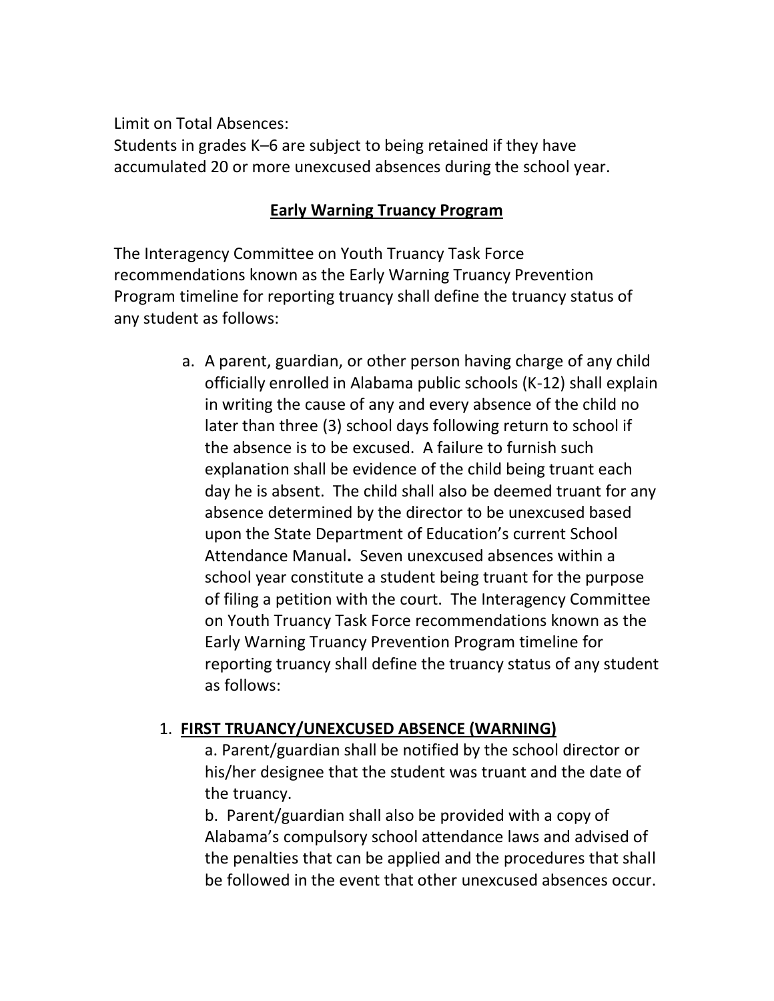Limit on Total Absences:

Students in grades K–6 are subject to being retained if they have accumulated 20 or more unexcused absences during the school year.

### **Early Warning Truancy Program**

The Interagency Committee on Youth Truancy Task Force recommendations known as the Early Warning Truancy Prevention Program timeline for reporting truancy shall define the truancy status of any student as follows:

> a. A parent, guardian, or other person having charge of any child officially enrolled in Alabama public schools (K-12) shall explain in writing the cause of any and every absence of the child no later than three (3) school days following return to school if the absence is to be excused. A failure to furnish such explanation shall be evidence of the child being truant each day he is absent. The child shall also be deemed truant for any absence determined by the director to be unexcused based upon the State Department of Education's current School Attendance Manual**.** Seven unexcused absences within a school year constitute a student being truant for the purpose of filing a petition with the court. The Interagency Committee on Youth Truancy Task Force recommendations known as the Early Warning Truancy Prevention Program timeline for reporting truancy shall define the truancy status of any student as follows:

#### 1. **FIRST TRUANCY/UNEXCUSED ABSENCE (WARNING)**

a. Parent/guardian shall be notified by the school director or his/her designee that the student was truant and the date of the truancy.

b. Parent/guardian shall also be provided with a copy of Alabama's compulsory school attendance laws and advised of the penalties that can be applied and the procedures that shall be followed in the event that other unexcused absences occur.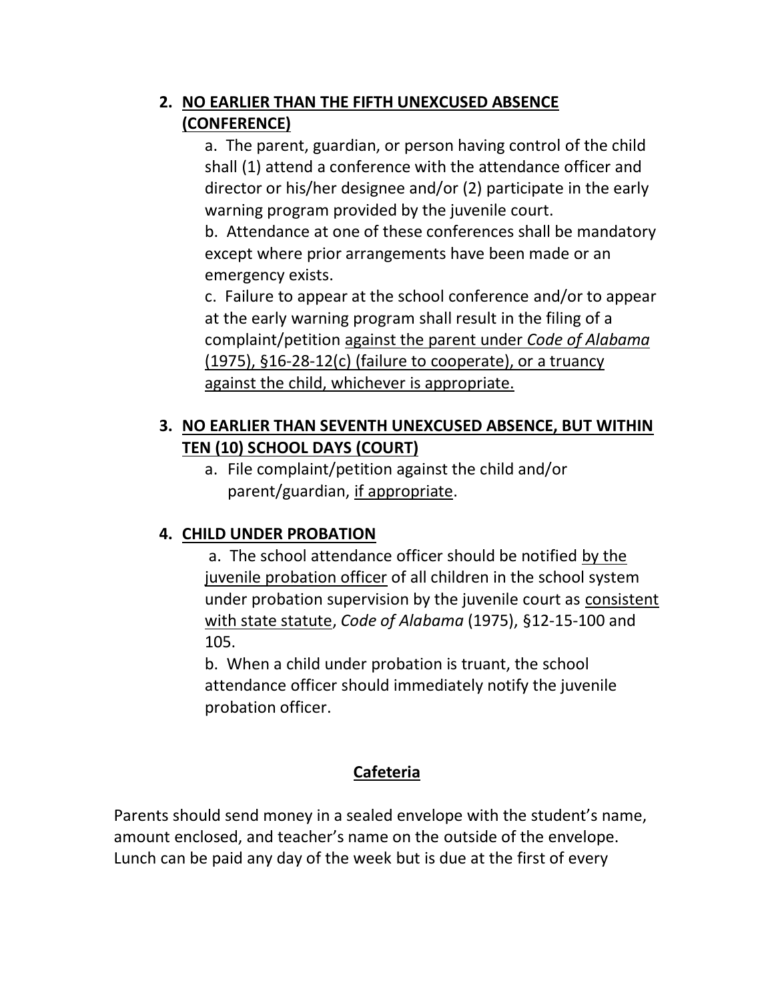## **2. NO EARLIER THAN THE FIFTH UNEXCUSED ABSENCE (CONFERENCE)**

a. The parent, guardian, or person having control of the child shall (1) attend a conference with the attendance officer and director or his/her designee and/or (2) participate in the early warning program provided by the juvenile court.

b. Attendance at one of these conferences shall be mandatory except where prior arrangements have been made or an emergency exists.

c. Failure to appear at the school conference and/or to appear at the early warning program shall result in the filing of a complaint/petition against the parent under *Code of Alabama* (1975), §16-28-12(c) (failure to cooperate), or a truancy against the child, whichever is appropriate.

## **3. NO EARLIER THAN SEVENTH UNEXCUSED ABSENCE, BUT WITHIN TEN (10) SCHOOL DAYS (COURT)**

a. File complaint/petition against the child and/or parent/guardian, if appropriate.

## **4. CHILD UNDER PROBATION**

a. The school attendance officer should be notified by the juvenile probation officer of all children in the school system under probation supervision by the juvenile court as consistent with state statute, *Code of Alabama* (1975), §12-15-100 and 105.

b. When a child under probation is truant, the school attendance officer should immediately notify the juvenile probation officer.

## **Cafeteria**

Parents should send money in a sealed envelope with the student's name, amount enclosed, and teacher's name on the outside of the envelope. Lunch can be paid any day of the week but is due at the first of every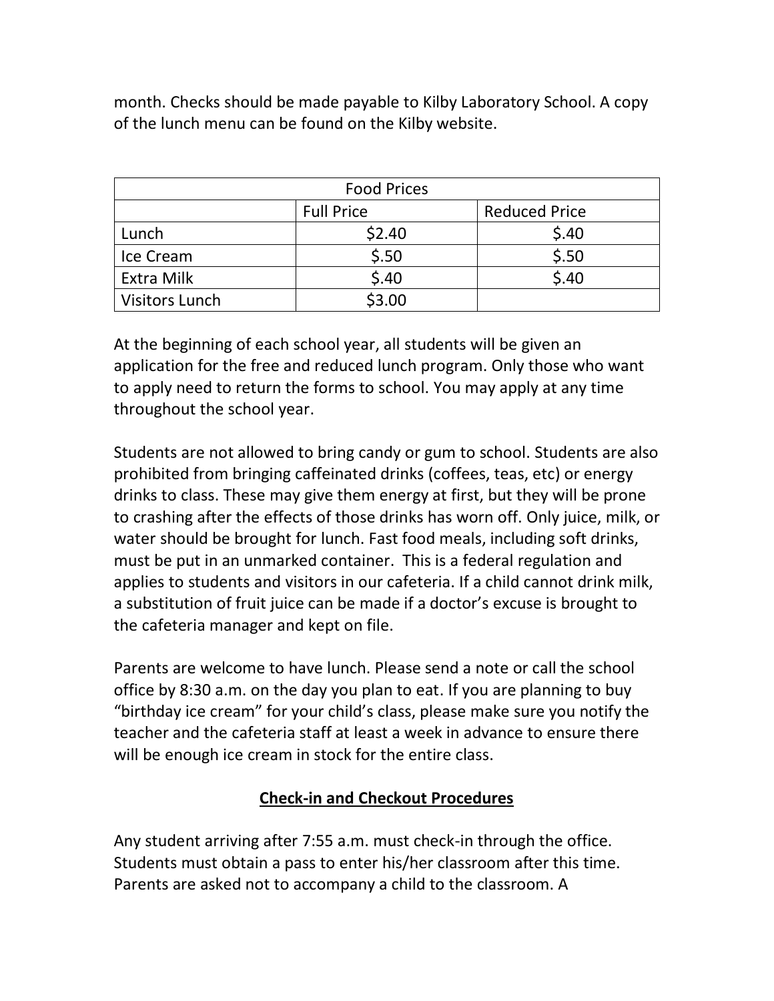month. Checks should be made payable to Kilby Laboratory School. A copy of the lunch menu can be found on the Kilby website.

| <b>Food Prices</b>    |                   |                      |  |
|-----------------------|-------------------|----------------------|--|
|                       | <b>Full Price</b> | <b>Reduced Price</b> |  |
| Lunch                 | \$2.40            | \$.40                |  |
| Ice Cream             | \$.50             | \$.50                |  |
| <b>Extra Milk</b>     | \$.40             | \$.40                |  |
| <b>Visitors Lunch</b> | \$3.00            |                      |  |

At the beginning of each school year, all students will be given an application for the free and reduced lunch program. Only those who want to apply need to return the forms to school. You may apply at any time throughout the school year.

Students are not allowed to bring candy or gum to school. Students are also prohibited from bringing caffeinated drinks (coffees, teas, etc) or energy drinks to class. These may give them energy at first, but they will be prone to crashing after the effects of those drinks has worn off. Only juice, milk, or water should be brought for lunch. Fast food meals, including soft drinks, must be put in an unmarked container. This is a federal regulation and applies to students and visitors in our cafeteria. If a child cannot drink milk, a substitution of fruit juice can be made if a doctor's excuse is brought to the cafeteria manager and kept on file.

Parents are welcome to have lunch. Please send a note or call the school office by 8:30 a.m. on the day you plan to eat. If you are planning to buy "birthday ice cream" for your child's class, please make sure you notify the teacher and the cafeteria staff at least a week in advance to ensure there will be enough ice cream in stock for the entire class.

## **Check-in and Checkout Procedures**

Any student arriving after 7:55 a.m. must check-in through the office. Students must obtain a pass to enter his/her classroom after this time. Parents are asked not to accompany a child to the classroom. A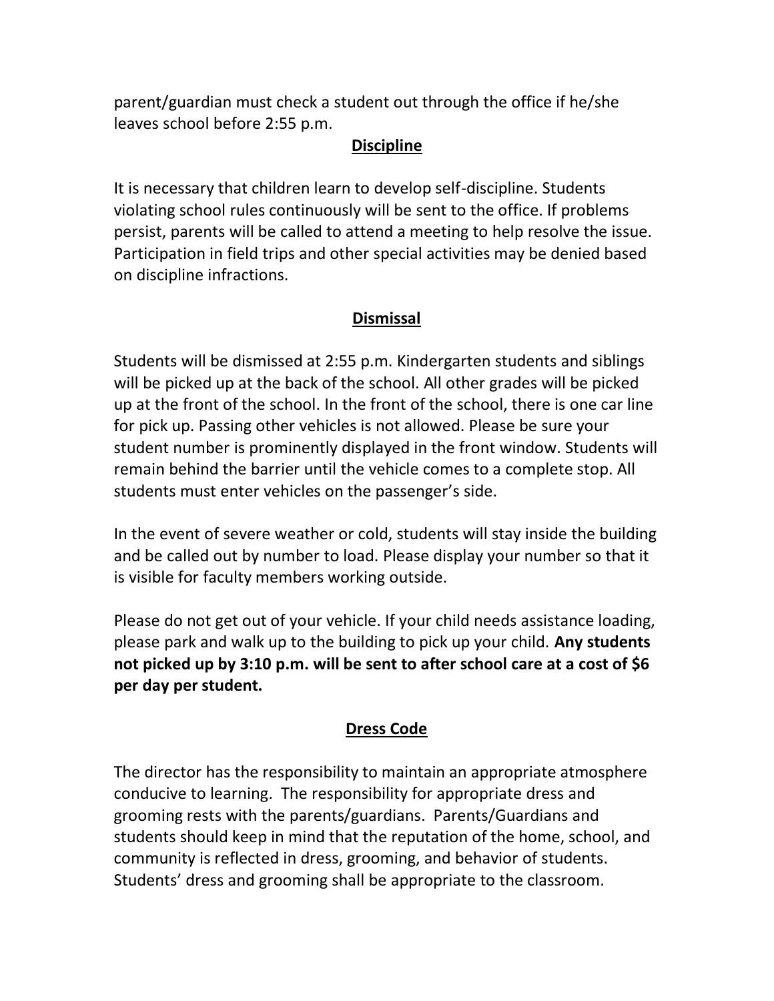parent/guardian must check a student out through the office if he/she leaves school before 2:55 p.m.

#### **Discipline**

It is necessary that children learn to develop self-discipline. Students violating school rules continuously will be sent to the office. If problems persist, parents will be called to attend a meeting to help resolve the issue. Participation in field trips and other special activities may be denied based on discipline infractions.

## **Dismissal**

Students will be dismissed at 2:55 p.m. Kindergarten students and siblings will be picked up at the back of the school. All other grades will be picked up at the front of the school. In the front of the school, there is one car line for pick up. Passing other vehicles is not allowed. Please be sure your student number is prominently displayed in the front window. Students will remain behind the barrier until the vehicle comes to a complete stop. All students must enter vehicles on the passenger's side.

In the event of severe weather or cold, students will stay inside the building and be called out by number to load. Please display your number so that it is visible for faculty members working outside.

Please do not get out of your vehicle. If your child needs assistance loading, please park and walk up to the building to pick up your child. **Any students not picked up by 3:10 p.m. will be sent to after school care at a cost of \$6 per day per student.** 

## **Dress Code**

The director has the responsibility to maintain an appropriate atmosphere conducive to learning. The responsibility for appropriate dress and grooming rests with the parents/guardians. Parents/Guardians and students should keep in mind that the reputation of the home, school, and community is reflected in dress, grooming, and behavior of students. Students' dress and grooming shall be appropriate to the classroom.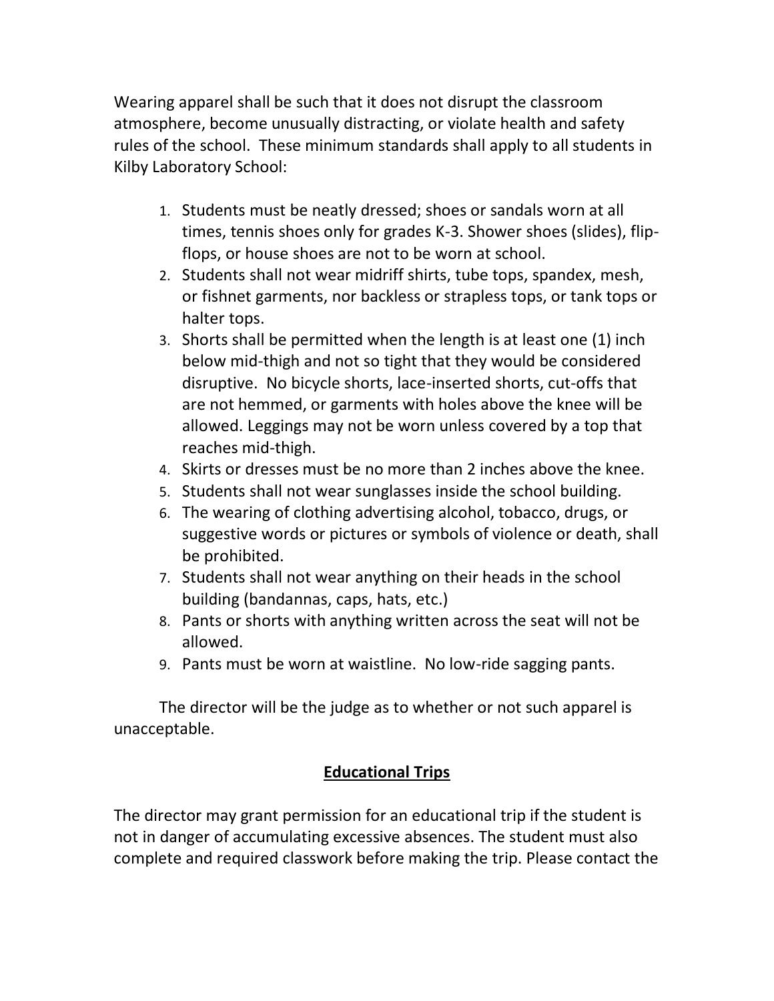Wearing apparel shall be such that it does not disrupt the classroom atmosphere, become unusually distracting, or violate health and safety rules of the school. These minimum standards shall apply to all students in Kilby Laboratory School:

- 1. Students must be neatly dressed; shoes or sandals worn at all times, tennis shoes only for grades K-3. Shower shoes (slides), flipflops, or house shoes are not to be worn at school.
- 2. Students shall not wear midriff shirts, tube tops, spandex, mesh, or fishnet garments, nor backless or strapless tops, or tank tops or halter tops.
- 3. Shorts shall be permitted when the length is at least one (1) inch below mid-thigh and not so tight that they would be considered disruptive. No bicycle shorts, lace-inserted shorts, cut-offs that are not hemmed, or garments with holes above the knee will be allowed. Leggings may not be worn unless covered by a top that reaches mid-thigh.
- 4. Skirts or dresses must be no more than 2 inches above the knee.
- 5. Students shall not wear sunglasses inside the school building.
- 6. The wearing of clothing advertising alcohol, tobacco, drugs, or suggestive words or pictures or symbols of violence or death, shall be prohibited.
- 7. Students shall not wear anything on their heads in the school building (bandannas, caps, hats, etc.)
- 8. Pants or shorts with anything written across the seat will not be allowed.
- 9. Pants must be worn at waistline. No low-ride sagging pants.

The director will be the judge as to whether or not such apparel is unacceptable.

## **Educational Trips**

The director may grant permission for an educational trip if the student is not in danger of accumulating excessive absences. The student must also complete and required classwork before making the trip. Please contact the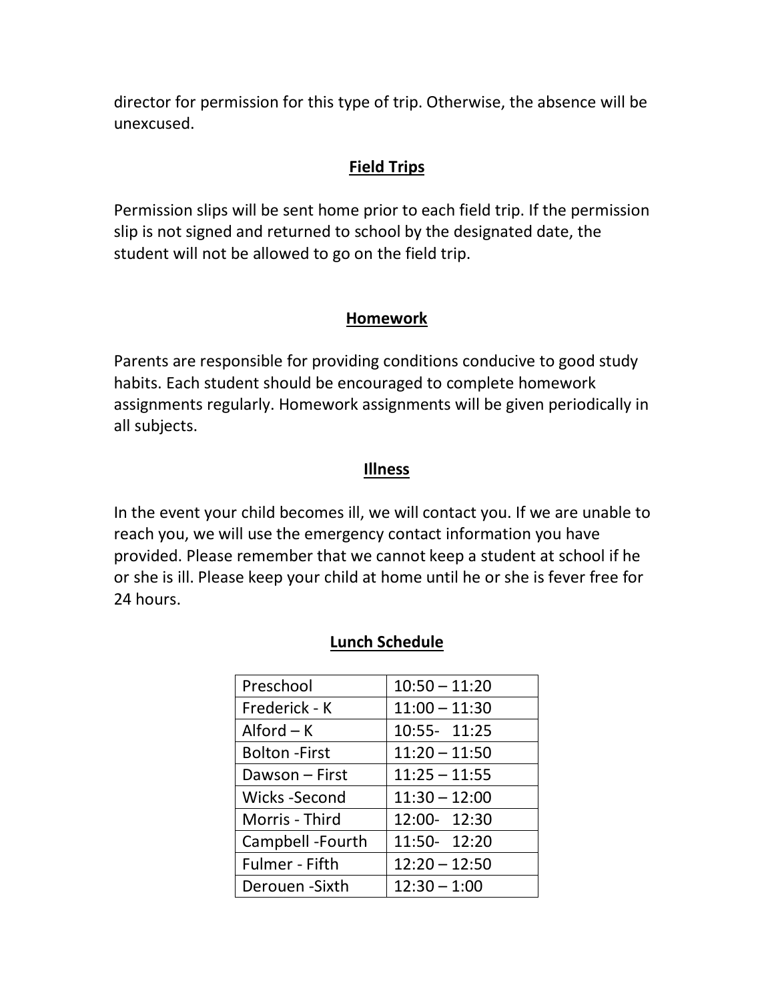director for permission for this type of trip. Otherwise, the absence will be unexcused.

#### **Field Trips**

Permission slips will be sent home prior to each field trip. If the permission slip is not signed and returned to school by the designated date, the student will not be allowed to go on the field trip.

#### **Homework**

Parents are responsible for providing conditions conducive to good study habits. Each student should be encouraged to complete homework assignments regularly. Homework assignments will be given periodically in all subjects.

#### **Illness**

In the event your child becomes ill, we will contact you. If we are unable to reach you, we will use the emergency contact information you have provided. Please remember that we cannot keep a student at school if he or she is ill. Please keep your child at home until he or she is fever free for 24 hours.

| Preschool             | $10:50 - 11:20$ |
|-----------------------|-----------------|
| Frederick - K         | $11:00 - 11:30$ |
| $Alford - K$          | 10:55- 11:25    |
| <b>Bolton</b> - First | $11:20 - 11:50$ |
| Dawson - First        | $11:25 - 11:55$ |
| Wicks -Second         | $11:30 - 12:00$ |
| Morris - Third        | 12:00- 12:30    |
| Campbell - Fourth     | 11:50- 12:20    |
| <b>Fulmer</b> - Fifth | $12:20 - 12:50$ |
| Derouen - Sixth       | $12:30 - 1:00$  |

#### **Lunch Schedule**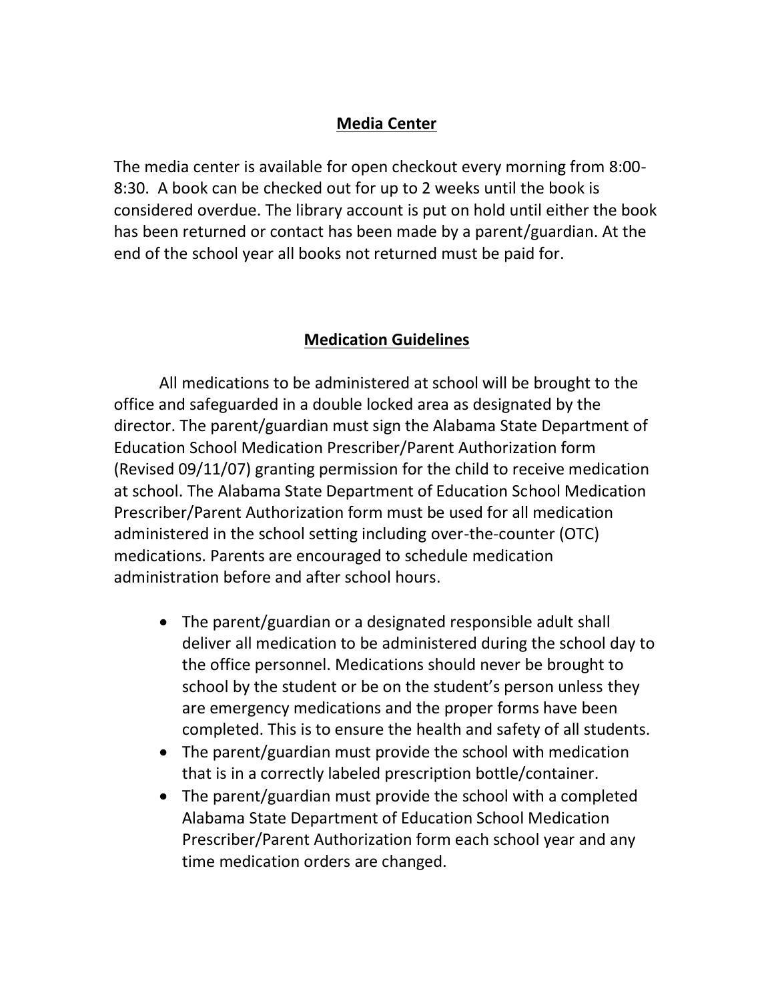#### **Media Center**

The media center is available for open checkout every morning from 8:00- 8:30. A book can be checked out for up to 2 weeks until the book is considered overdue. The library account is put on hold until either the book has been returned or contact has been made by a parent/guardian. At the end of the school year all books not returned must be paid for.

## **Medication Guidelines**

All medications to be administered at school will be brought to the office and safeguarded in a double locked area as designated by the director. The parent/guardian must sign the Alabama State Department of Education School Medication Prescriber/Parent Authorization form (Revised 09/11/07) granting permission for the child to receive medication at school. The Alabama State Department of Education School Medication Prescriber/Parent Authorization form must be used for all medication administered in the school setting including over-the-counter (OTC) medications. Parents are encouraged to schedule medication administration before and after school hours.

- The parent/guardian or a designated responsible adult shall deliver all medication to be administered during the school day to the office personnel. Medications should never be brought to school by the student or be on the student's person unless they are emergency medications and the proper forms have been completed. This is to ensure the health and safety of all students.
- The parent/guardian must provide the school with medication that is in a correctly labeled prescription bottle/container.
- The parent/guardian must provide the school with a completed Alabama State Department of Education School Medication Prescriber/Parent Authorization form each school year and any time medication orders are changed.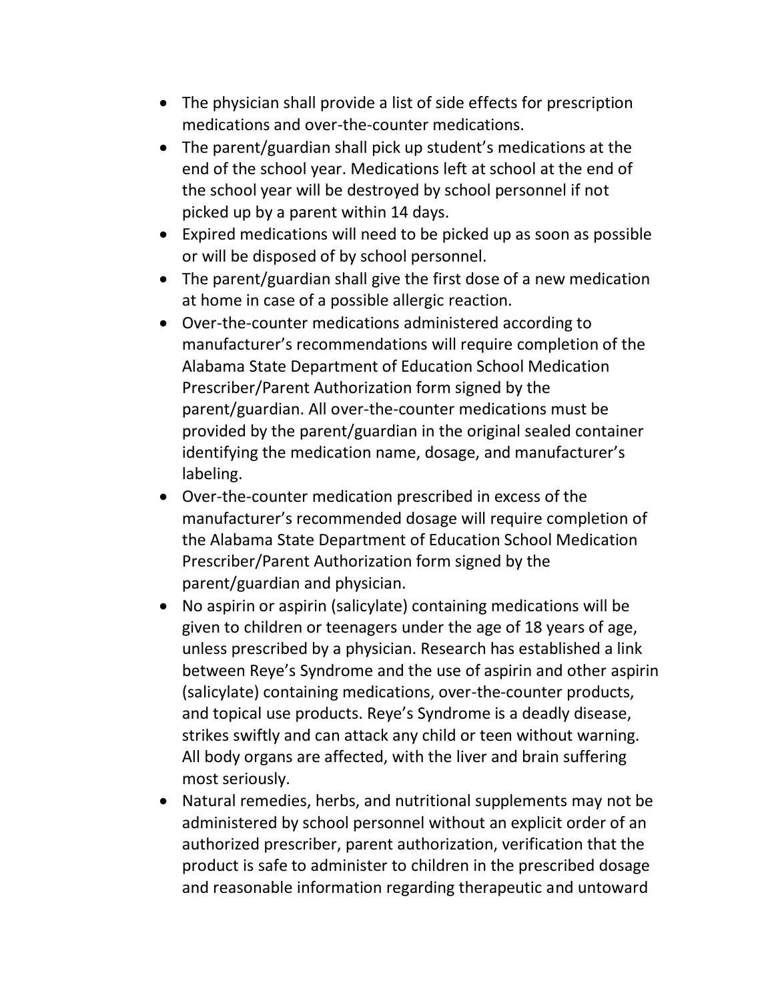- The physician shall provide a list of side effects for prescription medications and over-the-counter medications.
- The parent/guardian shall pick up student's medications at the end of the school year. Medications left at school at the end of the school year will be destroyed by school personnel if not picked up by a parent within 14 days.
- Expired medications will need to be picked up as soon as possible or will be disposed of by school personnel.
- The parent/guardian shall give the first dose of a new medication at home in case of a possible allergic reaction.
- Over-the-counter medications administered according to manufacturer's recommendations will require completion of the Alabama State Department of Education School Medication Prescriber/Parent Authorization form signed by the parent/guardian. All over-the-counter medications must be provided by the parent/guardian in the original sealed container identifying the medication name, dosage, and manufacturer's labeling.
- Over-the-counter medication prescribed in excess of the manufacturer's recommended dosage will require completion of the Alabama State Department of Education School Medication Prescriber/Parent Authorization form signed by the parent/guardian and physician.
- No aspirin or aspirin (salicylate) containing medications will be given to children or teenagers under the age of 18 years of age, unless prescribed by a physician. Research has established a link between Reye's Syndrome and the use of aspirin and other aspirin (salicylate) containing medications, over-the-counter products, and topical use products. Reye's Syndrome is a deadly disease, strikes swiftly and can attack any child or teen without warning. All body organs are affected, with the liver and brain suffering most seriously.
- Natural remedies, herbs, and nutritional supplements may not be administered by school personnel without an explicit order of an authorized prescriber, parent authorization, verification that the product is safe to administer to children in the prescribed dosage and reasonable information regarding therapeutic and untoward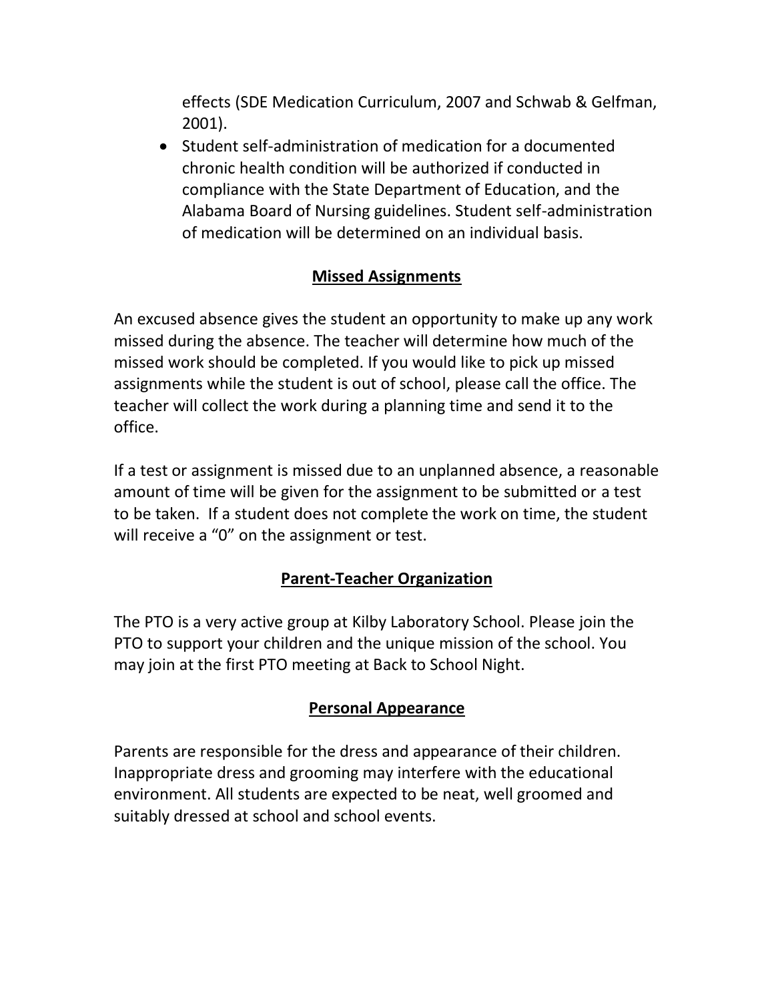effects (SDE Medication Curriculum, 2007 and Schwab & Gelfman, 2001).

• Student self-administration of medication for a documented chronic health condition will be authorized if conducted in compliance with the State Department of Education, and the Alabama Board of Nursing guidelines. Student self-administration of medication will be determined on an individual basis.

## **Missed Assignments**

An excused absence gives the student an opportunity to make up any work missed during the absence. The teacher will determine how much of the missed work should be completed. If you would like to pick up missed assignments while the student is out of school, please call the office. The teacher will collect the work during a planning time and send it to the office.

If a test or assignment is missed due to an unplanned absence, a reasonable amount of time will be given for the assignment to be submitted or a test to be taken. If a student does not complete the work on time, the student will receive a "0" on the assignment or test.

## **Parent-Teacher Organization**

The PTO is a very active group at Kilby Laboratory School. Please join the PTO to support your children and the unique mission of the school. You may join at the first PTO meeting at Back to School Night.

## **Personal Appearance**

Parents are responsible for the dress and appearance of their children. Inappropriate dress and grooming may interfere with the educational environment. All students are expected to be neat, well groomed and suitably dressed at school and school events.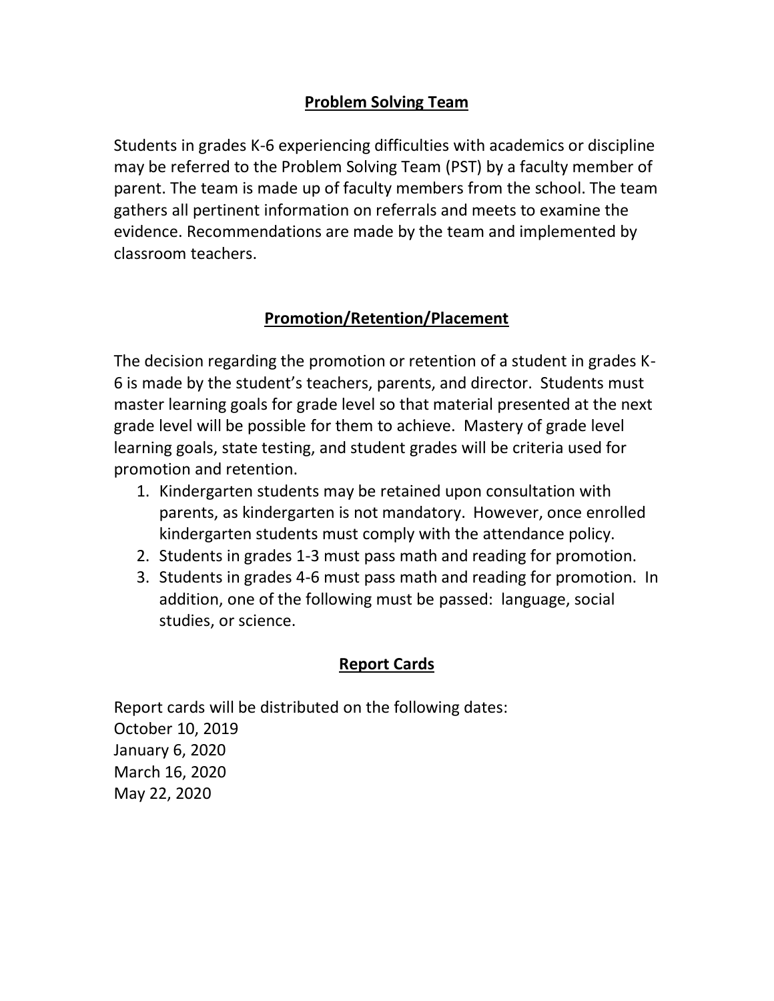### **Problem Solving Team**

Students in grades K-6 experiencing difficulties with academics or discipline may be referred to the Problem Solving Team (PST) by a faculty member of parent. The team is made up of faculty members from the school. The team gathers all pertinent information on referrals and meets to examine the evidence. Recommendations are made by the team and implemented by classroom teachers.

## **Promotion/Retention/Placement**

The decision regarding the promotion or retention of a student in grades K-6 is made by the student's teachers, parents, and director. Students must master learning goals for grade level so that material presented at the next grade level will be possible for them to achieve. Mastery of grade level learning goals, state testing, and student grades will be criteria used for promotion and retention.

- 1. Kindergarten students may be retained upon consultation with parents, as kindergarten is not mandatory. However, once enrolled kindergarten students must comply with the attendance policy.
- 2. Students in grades 1-3 must pass math and reading for promotion.
- 3. Students in grades 4-6 must pass math and reading for promotion. In addition, one of the following must be passed: language, social studies, or science.

#### **Report Cards**

Report cards will be distributed on the following dates: October 10, 2019 January 6, 2020 March 16, 2020 May 22, 2020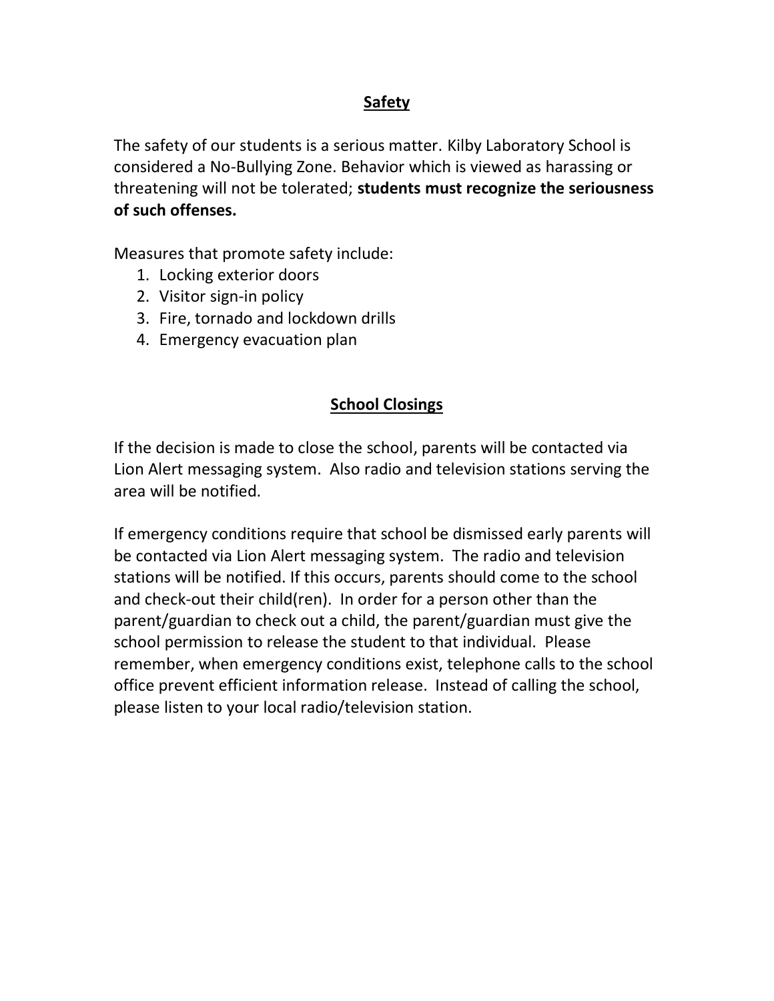### **Safety**

The safety of our students is a serious matter. Kilby Laboratory School is considered a No-Bullying Zone. Behavior which is viewed as harassing or threatening will not be tolerated; **students must recognize the seriousness of such offenses.** 

Measures that promote safety include:

- 1. Locking exterior doors
- 2. Visitor sign-in policy
- 3. Fire, tornado and lockdown drills
- 4. Emergency evacuation plan

#### **School Closings**

If the decision is made to close the school, parents will be contacted via Lion Alert messaging system. Also radio and television stations serving the area will be notified.

If emergency conditions require that school be dismissed early parents will be contacted via Lion Alert messaging system. The radio and television stations will be notified. If this occurs, parents should come to the school and check-out their child(ren). In order for a person other than the parent/guardian to check out a child, the parent/guardian must give the school permission to release the student to that individual. Please remember, when emergency conditions exist, telephone calls to the school office prevent efficient information release. Instead of calling the school, please listen to your local radio/television station.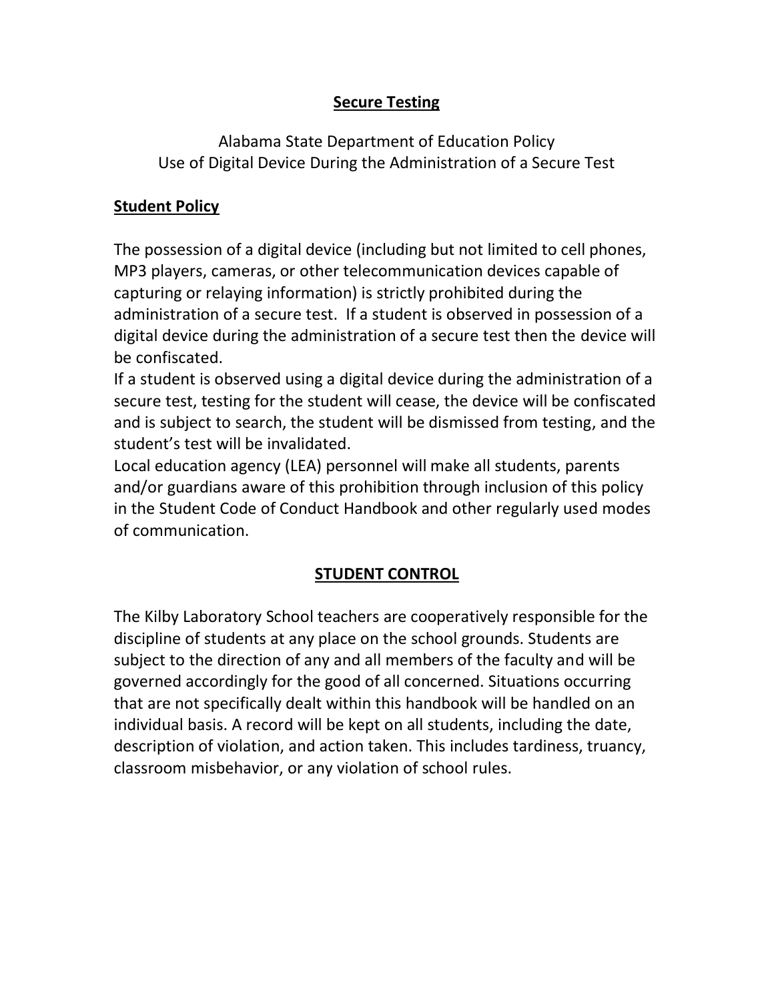## **Secure Testing**

Alabama State Department of Education Policy Use of Digital Device During the Administration of a Secure Test

## **Student Policy**

The possession of a digital device (including but not limited to cell phones, MP3 players, cameras, or other telecommunication devices capable of capturing or relaying information) is strictly prohibited during the administration of a secure test. If a student is observed in possession of a digital device during the administration of a secure test then the device will be confiscated.

If a student is observed using a digital device during the administration of a secure test, testing for the student will cease, the device will be confiscated and is subject to search, the student will be dismissed from testing, and the student's test will be invalidated.

Local education agency (LEA) personnel will make all students, parents and/or guardians aware of this prohibition through inclusion of this policy in the Student Code of Conduct Handbook and other regularly used modes of communication.

## **STUDENT CONTROL**

The Kilby Laboratory School teachers are cooperatively responsible for the discipline of students at any place on the school grounds. Students are subject to the direction of any and all members of the faculty and will be governed accordingly for the good of all concerned. Situations occurring that are not specifically dealt within this handbook will be handled on an individual basis. A record will be kept on all students, including the date, description of violation, and action taken. This includes tardiness, truancy, classroom misbehavior, or any violation of school rules.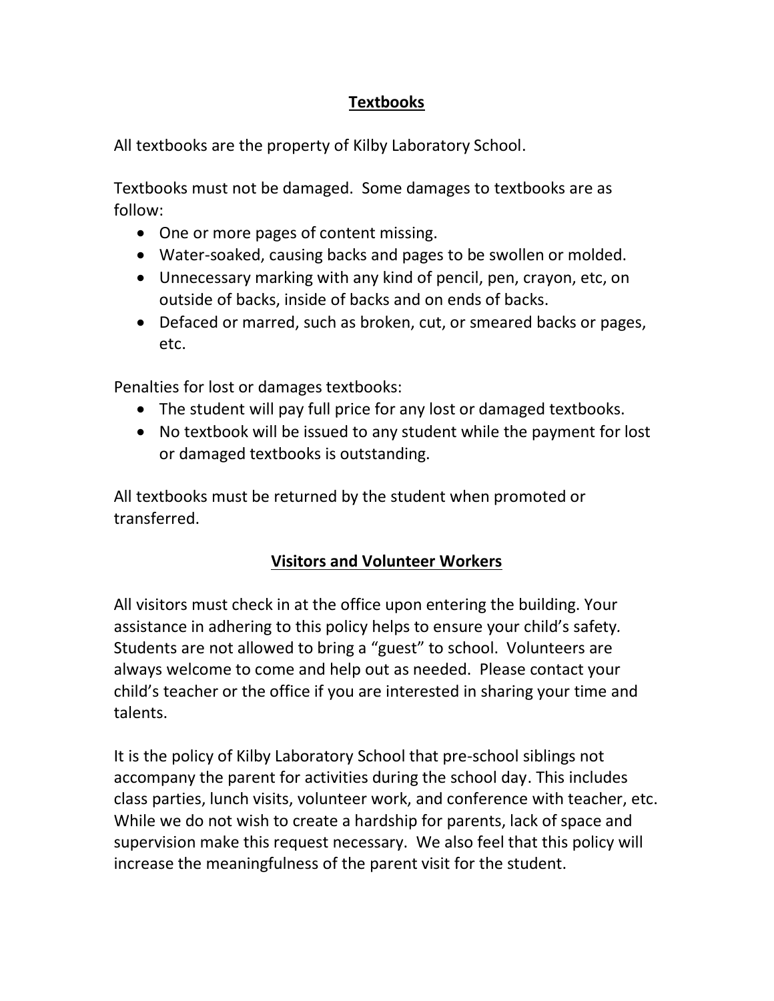## **Textbooks**

All textbooks are the property of Kilby Laboratory School.

Textbooks must not be damaged. Some damages to textbooks are as follow:

- One or more pages of content missing.
- Water-soaked, causing backs and pages to be swollen or molded.
- Unnecessary marking with any kind of pencil, pen, crayon, etc, on outside of backs, inside of backs and on ends of backs.
- Defaced or marred, such as broken, cut, or smeared backs or pages, etc.

Penalties for lost or damages textbooks:

- The student will pay full price for any lost or damaged textbooks.
- No textbook will be issued to any student while the payment for lost or damaged textbooks is outstanding.

All textbooks must be returned by the student when promoted or transferred.

## **Visitors and Volunteer Workers**

All visitors must check in at the office upon entering the building. Your assistance in adhering to this policy helps to ensure your child's safety*.*  Students are not allowed to bring a "guest" to school. Volunteers are always welcome to come and help out as needed. Please contact your child's teacher or the office if you are interested in sharing your time and talents.

It is the policy of Kilby Laboratory School that pre-school siblings not accompany the parent for activities during the school day. This includes class parties, lunch visits, volunteer work, and conference with teacher, etc. While we do not wish to create a hardship for parents, lack of space and supervision make this request necessary. We also feel that this policy will increase the meaningfulness of the parent visit for the student.